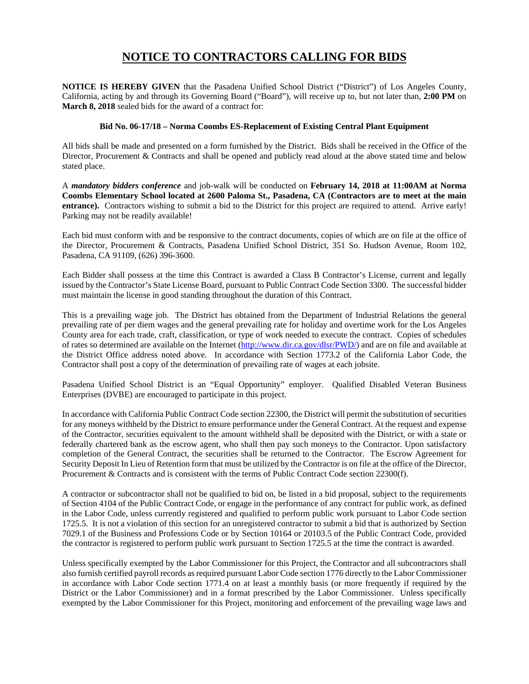## **NOTICE TO CONTRACTORS CALLING FOR BIDS**

**NOTICE IS HEREBY GIVEN** that the Pasadena Unified School District ("District") of Los Angeles County, California, acting by and through its Governing Board ("Board"), will receive up to, but not later than, **2:00 PM** on **March 8, 2018** sealed bids for the award of a contract for:

## **Bid No. 06-17/18 – Norma Coombs ES-Replacement of Existing Central Plant Equipment**

All bids shall be made and presented on a form furnished by the District. Bids shall be received in the Office of the Director, Procurement & Contracts and shall be opened and publicly read aloud at the above stated time and below stated place.

A *mandatory bidders conference* and job-walk will be conducted on **February 14, 2018 at 11:00AM at Norma Coombs Elementary School located at 2600 Paloma St., Pasadena, CA (Contractors are to meet at the main entrance).** Contractors wishing to submit a bid to the District for this project are required to attend. Arrive early! Parking may not be readily available!

Each bid must conform with and be responsive to the contract documents, copies of which are on file at the office of the Director, Procurement & Contracts, Pasadena Unified School District, 351 So. Hudson Avenue, Room 102, Pasadena, CA 91109, (626) 396-3600.

Each Bidder shall possess at the time this Contract is awarded a Class B Contractor's License, current and legally issued by the Contractor's State License Board, pursuant to Public Contract Code Section 3300. The successful bidder must maintain the license in good standing throughout the duration of this Contract.

This is a prevailing wage job. The District has obtained from the Department of Industrial Relations the general prevailing rate of per diem wages and the general prevailing rate for holiday and overtime work for the Los Angeles County area for each trade, craft, classification, or type of work needed to execute the contract. Copies of schedules of rates so determined are available on the Internet (http://www.dir.ca.gov/dlsr/PWD/) and are on file and available at the District Office address noted above. In accordance with Section 1773.2 of the California Labor Code, the Contractor shall post a copy of the determination of prevailing rate of wages at each jobsite.

Pasadena Unified School District is an "Equal Opportunity" employer. Qualified Disabled Veteran Business Enterprises (DVBE) are encouraged to participate in this project.

In accordance with California Public Contract Code section 22300, the District will permit the substitution of securities for any moneys withheld by the District to ensure performance under the General Contract. At the request and expense of the Contractor, securities equivalent to the amount withheld shall be deposited with the District, or with a state or federally chartered bank as the escrow agent, who shall then pay such moneys to the Contractor. Upon satisfactory completion of the General Contract, the securities shall be returned to the Contractor. The Escrow Agreement for Security Deposit In Lieu of Retention form that must be utilized by the Contractor is on file at the office of the Director, Procurement & Contracts and is consistent with the terms of Public Contract Code section 22300(f).

A contractor or subcontractor shall not be qualified to bid on, be listed in a bid proposal, subject to the requirements of Section 4104 of the Public Contract Code, or engage in the performance of any contract for public work, as defined in the Labor Code, unless currently registered and qualified to perform public work pursuant to Labor Code section 1725.5. It is not a violation of this section for an unregistered contractor to submit a bid that is authorized by Section 7029.1 of the Business and Professions Code or by Section 10164 or 20103.5 of the Public Contract Code, provided the contractor is registered to perform public work pursuant to Section 1725.5 at the time the contract is awarded.

Unless specifically exempted by the Labor Commissioner for this Project, the Contractor and all subcontractors shall also furnish certified payroll records as required pursuant Labor Code section 1776 directly to the Labor Commissioner in accordance with Labor Code section 1771.4 on at least a monthly basis (or more frequently if required by the District or the Labor Commissioner) and in a format prescribed by the Labor Commissioner. Unless specifically exempted by the Labor Commissioner for this Project, monitoring and enforcement of the prevailing wage laws and